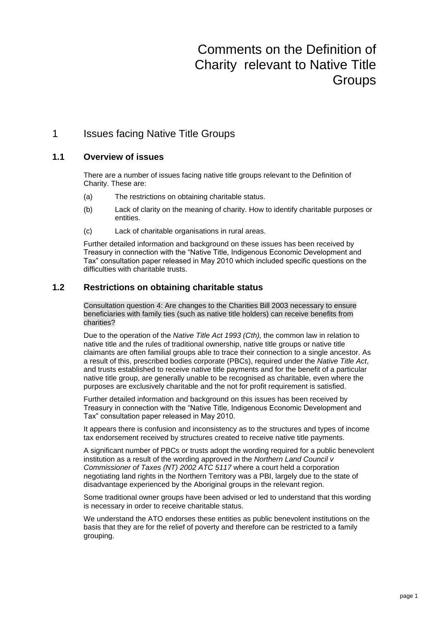# Comments on the Definition of Charity relevant to Native Title **Groups**

# 1 Issues facing Native Title Groups

## **1.1 Overview of issues**

There are a number of issues facing native title groups relevant to the Definition of Charity. These are:

- (a) The restrictions on obtaining charitable status.
- (b) Lack of clarity on the meaning of charity. How to identify charitable purposes or entities.
- (c) Lack of charitable organisations in rural areas.

Further detailed information and background on these issues has been received by Treasury in connection with the "Native Title, Indigenous Economic Development and Tax" consultation paper released in May 2010 which included specific questions on the difficulties with charitable trusts.

## **1.2 Restrictions on obtaining charitable status**

Consultation question 4: Are changes to the Charities Bill 2003 necessary to ensure beneficiaries with family ties (such as native title holders) can receive benefits from charities?

Due to the operation of the *Native Title Act 1993 (Cth),* the common law in relation to native title and the rules of traditional ownership, native title groups or native title claimants are often familial groups able to trace their connection to a single ancestor. As a result of this, prescribed bodies corporate (PBCs), required under the *Native Title Act*, and trusts established to receive native title payments and for the benefit of a particular native title group, are generally unable to be recognised as charitable, even where the purposes are exclusively charitable and the not for profit requirement is satisfied.

Further detailed information and background on this issues has been received by Treasury in connection with the "Native Title, Indigenous Economic Development and Tax" consultation paper released in May 2010.

It appears there is confusion and inconsistency as to the structures and types of income tax endorsement received by structures created to receive native title payments.

A significant number of PBCs or trusts adopt the wording required for a public benevolent institution as a result of the wording approved in the *Northern Land Council v Commissioner of Taxes (NT) 2002 ATC 5117* where a court held a corporation negotiating land rights in the Northern Territory was a PBI, largely due to the state of disadvantage experienced by the Aboriginal groups in the relevant region.

Some traditional owner groups have been advised or led to understand that this wording is necessary in order to receive charitable status.

We understand the ATO endorses these entities as public benevolent institutions on the basis that they are for the relief of poverty and therefore can be restricted to a family grouping.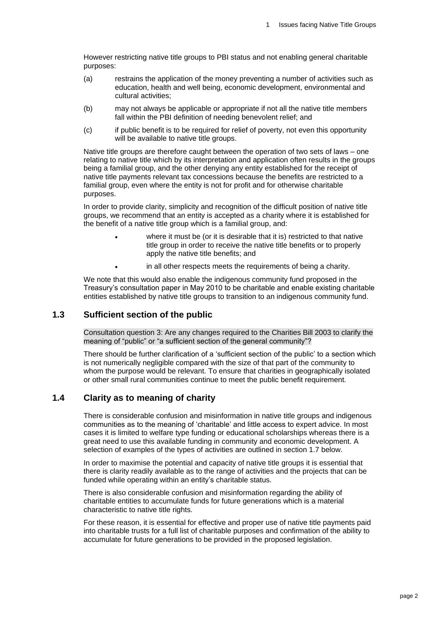However restricting native title groups to PBI status and not enabling general charitable purposes:

- (a) restrains the application of the money preventing a number of activities such as education, health and well being, economic development, environmental and cultural activities;
- (b) may not always be applicable or appropriate if not all the native title members fall within the PBI definition of needing benevolent relief; and
- (c) if public benefit is to be required for relief of poverty, not even this opportunity will be available to native title groups.

Native title groups are therefore caught between the operation of two sets of laws – one relating to native title which by its interpretation and application often results in the groups being a familial group, and the other denying any entity established for the receipt of native title payments relevant tax concessions because the benefits are restricted to a familial group, even where the entity is not for profit and for otherwise charitable purposes.

In order to provide clarity, simplicity and recognition of the difficult position of native title groups, we recommend that an entity is accepted as a charity where it is established for the benefit of a native title group which is a familial group, and:

- where it must be (or it is desirable that it is) restricted to that native title group in order to receive the native title benefits or to properly apply the native title benefits; and
- in all other respects meets the requirements of being a charity.

We note that this would also enable the indigenous community fund proposed in the Treasury's consultation paper in May 2010 to be charitable and enable existing charitable entities established by native title groups to transition to an indigenous community fund.

#### **1.3 Sufficient section of the public**

Consultation question 3: Are any changes required to the Charities Bill 2003 to clarify the meaning of "public" or "a sufficient section of the general community"?

There should be further clarification of a 'sufficient section of the public' to a section which is not numerically negligible compared with the size of that part of the community to whom the purpose would be relevant. To ensure that charities in geographically isolated or other small rural communities continue to meet the public benefit requirement.

#### **1.4 Clarity as to meaning of charity**

There is considerable confusion and misinformation in native title groups and indigenous communities as to the meaning of 'charitable' and little access to expert advice. In most cases it is limited to welfare type funding or educational scholarships whereas there is a great need to use this available funding in community and economic development. A selection of examples of the types of activities are outlined in section 1.7 below.

In order to maximise the potential and capacity of native title groups it is essential that there is clarity readily available as to the range of activities and the projects that can be funded while operating within an entity's charitable status.

There is also considerable confusion and misinformation regarding the ability of charitable entities to accumulate funds for future generations which is a material characteristic to native title rights.

For these reason, it is essential for effective and proper use of native title payments paid into charitable trusts for a full list of charitable purposes and confirmation of the ability to accumulate for future generations to be provided in the proposed legislation.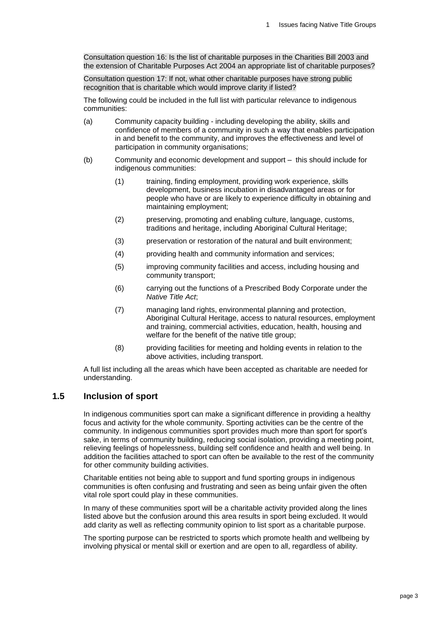Consultation question 16: Is the list of charitable purposes in the Charities Bill 2003 and the extension of Charitable Purposes Act 2004 an appropriate list of charitable purposes?

Consultation question 17: If not, what other charitable purposes have strong public recognition that is charitable which would improve clarity if listed?

The following could be included in the full list with particular relevance to indigenous communities:

- (a) Community capacity building including developing the ability, skills and confidence of members of a community in such a way that enables participation in and benefit to the community, and improves the effectiveness and level of participation in community organisations;
- (b) Community and economic development and support this should include for indigenous communities:
	- (1) training, finding employment, providing work experience, skills development, business incubation in disadvantaged areas or for people who have or are likely to experience difficulty in obtaining and maintaining employment;
	- (2) preserving, promoting and enabling culture, language, customs, traditions and heritage, including Aboriginal Cultural Heritage;
	- (3) preservation or restoration of the natural and built environment;
	- (4) providing health and community information and services;
	- (5) improving community facilities and access, including housing and community transport;
	- (6) carrying out the functions of a Prescribed Body Corporate under the *Native Title Act*;
	- (7) managing land rights, environmental planning and protection, Aboriginal Cultural Heritage, access to natural resources, employment and training, commercial activities, education, health, housing and welfare for the benefit of the native title group;
	- (8) providing facilities for meeting and holding events in relation to the above activities, including transport.

A full list including all the areas which have been accepted as charitable are needed for understanding.

## **1.5 Inclusion of sport**

In indigenous communities sport can make a significant difference in providing a healthy focus and activity for the whole community. Sporting activities can be the centre of the community. In indigenous communities sport provides much more than sport for sport's sake, in terms of community building, reducing social isolation, providing a meeting point, relieving feelings of hopelessness, building self confidence and health and well being. In addition the facilities attached to sport can often be available to the rest of the community for other community building activities.

Charitable entities not being able to support and fund sporting groups in indigenous communities is often confusing and frustrating and seen as being unfair given the often vital role sport could play in these communities.

In many of these communities sport will be a charitable activity provided along the lines listed above but the confusion around this area results in sport being excluded. It would add clarity as well as reflecting community opinion to list sport as a charitable purpose.

The sporting purpose can be restricted to sports which promote health and wellbeing by involving physical or mental skill or exertion and are open to all, regardless of ability.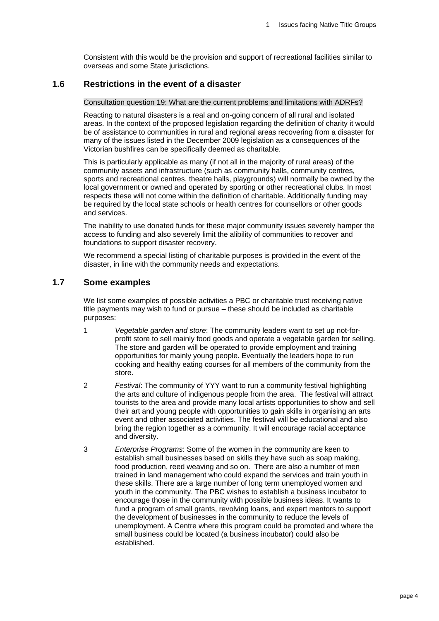Consistent with this would be the provision and support of recreational facilities similar to overseas and some State jurisdictions.

## **1.6 Restrictions in the event of a disaster**

#### Consultation question 19: What are the current problems and limitations with ADRFs?

Reacting to natural disasters is a real and on-going concern of all rural and isolated areas. In the context of the proposed legislation regarding the definition of charity it would be of assistance to communities in rural and regional areas recovering from a disaster for many of the issues listed in the December 2009 legislation as a consequences of the Victorian bushfires can be specifically deemed as charitable.

This is particularly applicable as many (if not all in the majority of rural areas) of the community assets and infrastructure (such as community halls, community centres, sports and recreational centres, theatre halls, playgrounds) will normally be owned by the local government or owned and operated by sporting or other recreational clubs. In most respects these will not come within the definition of charitable. Additionally funding may be required by the local state schools or health centres for counsellors or other goods and services.

The inability to use donated funds for these major community issues severely hamper the access to funding and also severely limit the alibility of communities to recover and foundations to support disaster recovery.

We recommend a special listing of charitable purposes is provided in the event of the disaster, in line with the community needs and expectations.

#### **1.7 Some examples**

We list some examples of possible activities a PBC or charitable trust receiving native title payments may wish to fund or pursue – these should be included as charitable purposes:

- 1 *Vegetable garden and store*: The community leaders want to set up not-forprofit store to sell mainly food goods and operate a vegetable garden for selling. The store and garden will be operated to provide employment and training opportunities for mainly young people. Eventually the leaders hope to run cooking and healthy eating courses for all members of the community from the store.
- 2 *Festival*: The community of YYY want to run a community festival highlighting the arts and culture of indigenous people from the area. The festival will attract tourists to the area and provide many local artists opportunities to show and sell their art and young people with opportunities to gain skills in organising an arts event and other associated activities. The festival will be educational and also bring the region together as a community. It will encourage racial acceptance and diversity.
- 3 *Enterprise Programs*: Some of the women in the community are keen to establish small businesses based on skills they have such as soap making, food production, reed weaving and so on. There are also a number of men trained in land management who could expand the services and train youth in these skills. There are a large number of long term unemployed women and youth in the community. The PBC wishes to establish a business incubator to encourage those in the community with possible business ideas. It wants to fund a program of small grants, revolving loans, and expert mentors to support the development of businesses in the community to reduce the levels of unemployment. A Centre where this program could be promoted and where the small business could be located (a business incubator) could also be established.